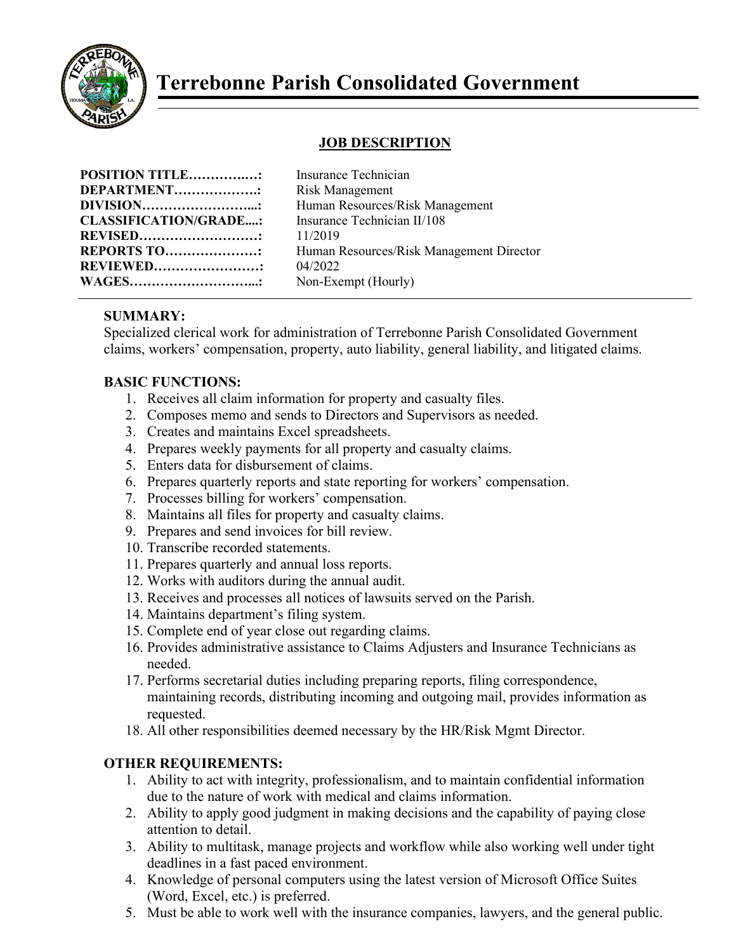

# **Terrebonne Parish Consolidated Government**

## **JOB DESCRIPTION**

| POSITION TITLE:              |  |
|------------------------------|--|
| DEPARTMENT                   |  |
| <b>DIVISION</b>              |  |
| <b>CLASSIFICATION/GRADE:</b> |  |
| <b>REVISED</b>               |  |
| <b>REPORTS TO</b>            |  |
| <b>REVIEWED</b>              |  |
| <b>WAGES</b>                 |  |

**Insurance Technician DEPARTMENT……………….:** Risk Management Human Resources/Risk Management **Insurance Technician II/108 REVISED………………………:** 11/2019 Human Resources/Risk Management Director **REVIEWED……………………:** 04/2022 Non-Exempt (Hourly)

## **SUMMARY:**

Specialized clerical work for administration of Terrebonne Parish Consolidated Government claims, workers' compensation, property, auto liability, general liability, and litigated claims.

#### **BASIC FUNCTIONS:**

- 1. Receives all claim information for property and casualty files.
- 2. Composes memo and sends to Directors and Supervisors as needed.
- 3. Creates and maintains Excel spreadsheets.
- 4. Prepares weekly payments for all property and casualty claims.
- 5. Enters data for disbursement of claims.
- 6. Prepares quarterly reports and state reporting for workers' compensation.
- 7. Processes billing for workers' compensation.
- 8. Maintains all files for property and casualty claims.
- 9. Prepares and send invoices for bill review.
- 10. Transcribe recorded statements.
- 11. Prepares quarterly and annual loss reports.
- 12. Works with auditors during the annual audit.
- 13. Receives and processes all notices of lawsuits served on the Parish.
- 14. Maintains department's filing system.
- 15. Complete end of year close out regarding claims.
- 16. Provides administrative assistance to Claims Adjusters and Insurance Technicians as needed.
- 17. Performs secretarial duties including preparing reports, filing correspondence, maintaining records, distributing incoming and outgoing mail, provides information as requested.
- 18. All other responsibilities deemed necessary by the HR/Risk Mgmt Director.

#### **OTHER REQUIREMENTS:**

- 1. Ability to act with integrity, professionalism, and to maintain confidential information due to the nature of work with medical and claims information.
- 2. Ability to apply good judgment in making decisions and the capability of paying close attention to detail.
- 3. Ability to multitask, manage projects and workflow while also working well under tight deadlines in a fast paced environment.
- 4. Knowledge of personal computers using the latest version of Microsoft Office Suites (Word, Excel, etc.) is preferred.
- 5. Must be able to work well with the insurance companies, lawyers, and the general public.